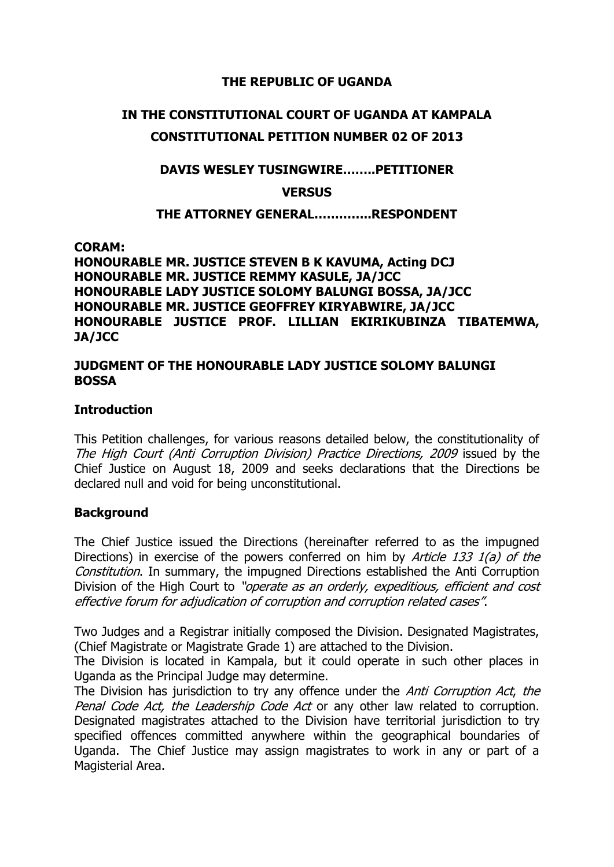## **THE REPUBLIC OF UGANDA**

# **IN THE CONSTITUTIONAL COURT OF UGANDA AT KAMPALA**

# **CONSTITUTIONAL PETITION NUMBER 02 OF 2013**

## **DAVIS WESLEY TUSINGWIRE……..PETITIONER**

**VERSUS**

## **THE ATTORNEY GENERAL…………..RESPONDENT**

**CORAM:**

**HONOURABLE MR. JUSTICE STEVEN B K KAVUMA, Acting DCJ HONOURABLE MR. JUSTICE REMMY KASULE, JA/JCC HONOURABLE LADY JUSTICE SOLOMY BALUNGI BOSSA, JA/JCC HONOURABLE MR. JUSTICE GEOFFREY KIRYABWIRE, JA/JCC HONOURABLE JUSTICE PROF. LILLIAN EKIRIKUBINZA TIBATEMWA, JA/JCC**

### **JUDGMENT OF THE HONOURABLE LADY JUSTICE SOLOMY BALUNGI BOSSA**

### **Introduction**

This Petition challenges, for various reasons detailed below, the constitutionality of The High Court (Anti Corruption Division) Practice Directions, 2009 issued by the Chief Justice on August 18, 2009 and seeks declarations that the Directions be declared null and void for being unconstitutional.

### **Background**

The Chief Justice issued the Directions (hereinafter referred to as the impugned Directions) in exercise of the powers conferred on him by *Article 133 1(a) of the* Constitution. In summary, the impugned Directions established the Anti Corruption Division of the High Court to "operate as an orderly, expeditious, efficient and cost effective forum for adjudication of corruption and corruption related cases".

Two Judges and a Registrar initially composed the Division. Designated Magistrates, (Chief Magistrate or Magistrate Grade 1) are attached to the Division.

The Division is located in Kampala, but it could operate in such other places in Uganda as the Principal Judge may determine.

The Division has jurisdiction to try any offence under the *Anti Corruption Act*, the Penal Code Act, the Leadership Code Act or any other law related to corruption. Designated magistrates attached to the Division have territorial jurisdiction to try specified offences committed anywhere within the geographical boundaries of Uganda. The Chief Justice may assign magistrates to work in any or part of a Magisterial Area.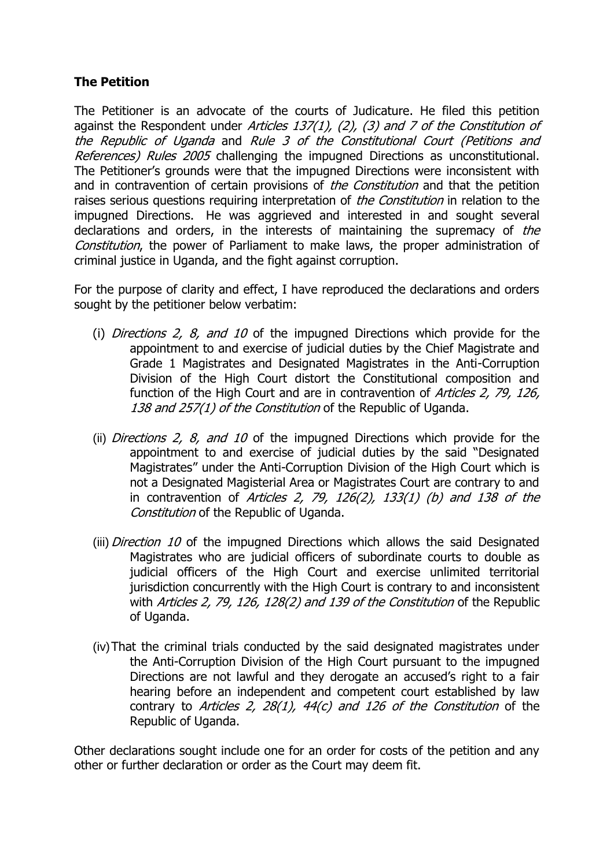## **The Petition**

The Petitioner is an advocate of the courts of Judicature. He filed this petition against the Respondent under Articles  $137(1)$ , (2), (3) and 7 of the Constitution of the Republic of Uganda and Rule 3 of the Constitutional Court (Petitions and References) Rules 2005 challenging the impugned Directions as unconstitutional. The Petitioner's grounds were that the impugned Directions were inconsistent with and in contravention of certain provisions of *the Constitution* and that the petition raises serious questions requiring interpretation of *the Constitution* in relation to the impugned Directions. He was aggrieved and interested in and sought several declarations and orders, in the interests of maintaining the supremacy of the Constitution, the power of Parliament to make laws, the proper administration of criminal justice in Uganda, and the fight against corruption.

For the purpose of clarity and effect, I have reproduced the declarations and orders sought by the petitioner below verbatim:

- (i) *Directions 2, 8, and 10* of the impugned Directions which provide for the appointment to and exercise of judicial duties by the Chief Magistrate and Grade 1 Magistrates and Designated Magistrates in the Anti-Corruption Division of the High Court distort the Constitutional composition and function of the High Court and are in contravention of Articles 2, 79, 126, 138 and 257(1) of the Constitution of the Republic of Uganda.
- (ii) *Directions 2, 8, and 10* of the impugned Directions which provide for the appointment to and exercise of judicial duties by the said "Designated Magistrates" under the Anti-Corruption Division of the High Court which is not a Designated Magisterial Area or Magistrates Court are contrary to and in contravention of Articles 2, 79, 126(2), 133(1) (b) and 138 of the Constitution of the Republic of Uganda.
- (iii) *Direction 10* of the impugned Directions which allows the said Designated Magistrates who are judicial officers of subordinate courts to double as judicial officers of the High Court and exercise unlimited territorial jurisdiction concurrently with the High Court is contrary to and inconsistent with Articles 2, 79, 126, 128(2) and 139 of the Constitution of the Republic of Uganda.
- (iv)That the criminal trials conducted by the said designated magistrates under the Anti-Corruption Division of the High Court pursuant to the impugned Directions are not lawful and they derogate an accused's right to a fair hearing before an independent and competent court established by law contrary to Articles 2, 28(1), 44(c) and 126 of the Constitution of the Republic of Uganda.

Other declarations sought include one for an order for costs of the petition and any other or further declaration or order as the Court may deem fit.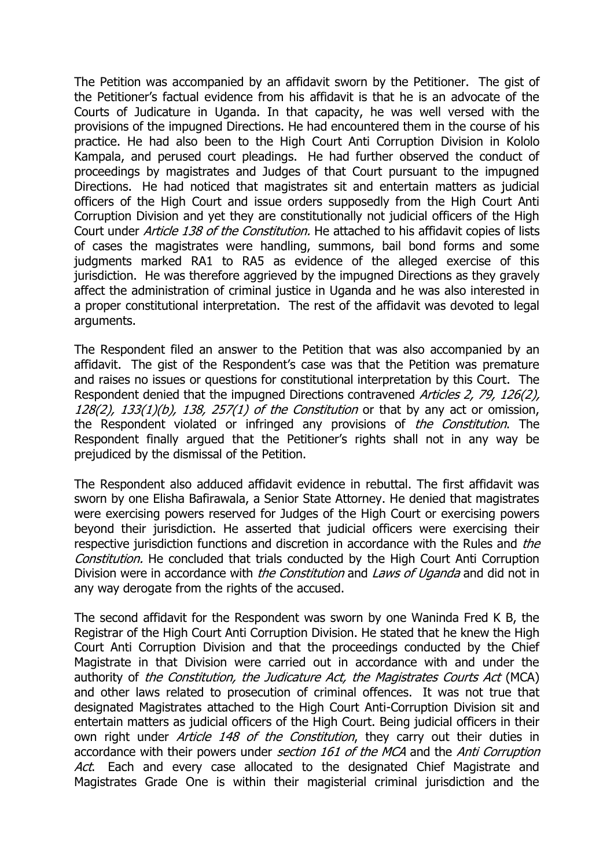The Petition was accompanied by an affidavit sworn by the Petitioner. The gist of the Petitioner's factual evidence from his affidavit is that he is an advocate of the Courts of Judicature in Uganda. In that capacity, he was well versed with the provisions of the impugned Directions. He had encountered them in the course of his practice. He had also been to the High Court Anti Corruption Division in Kololo Kampala, and perused court pleadings. He had further observed the conduct of proceedings by magistrates and Judges of that Court pursuant to the impugned Directions. He had noticed that magistrates sit and entertain matters as judicial officers of the High Court and issue orders supposedly from the High Court Anti Corruption Division and yet they are constitutionally not judicial officers of the High Court under Article 138 of the Constitution. He attached to his affidavit copies of lists of cases the magistrates were handling, summons, bail bond forms and some judgments marked RA1 to RA5 as evidence of the alleged exercise of this jurisdiction. He was therefore aggrieved by the impugned Directions as they gravely affect the administration of criminal justice in Uganda and he was also interested in a proper constitutional interpretation. The rest of the affidavit was devoted to legal arguments.

The Respondent filed an answer to the Petition that was also accompanied by an affidavit. The gist of the Respondent's case was that the Petition was premature and raises no issues or questions for constitutional interpretation by this Court. The Respondent denied that the impugned Directions contravened Articles 2, 79, 126(2),  $128(2)$ ,  $133(1)(b)$ ,  $138$ ,  $257(1)$  of the Constitution or that by any act or omission, the Respondent violated or infringed any provisions of the Constitution. The Respondent finally argued that the Petitioner's rights shall not in any way be prejudiced by the dismissal of the Petition.

The Respondent also adduced affidavit evidence in rebuttal. The first affidavit was sworn by one Elisha Bafirawala, a Senior State Attorney. He denied that magistrates were exercising powers reserved for Judges of the High Court or exercising powers beyond their jurisdiction. He asserted that judicial officers were exercising their respective jurisdiction functions and discretion in accordance with the Rules and the Constitution. He concluded that trials conducted by the High Court Anti Corruption Division were in accordance with *the Constitution* and *Laws of Uganda* and did not in any way derogate from the rights of the accused.

The second affidavit for the Respondent was sworn by one Waninda Fred K B, the Registrar of the High Court Anti Corruption Division. He stated that he knew the High Court Anti Corruption Division and that the proceedings conducted by the Chief Magistrate in that Division were carried out in accordance with and under the authority of the Constitution, the Judicature Act, the Magistrates Courts Act (MCA) and other laws related to prosecution of criminal offences. It was not true that designated Magistrates attached to the High Court Anti-Corruption Division sit and entertain matters as judicial officers of the High Court. Being judicial officers in their own right under *Article 148 of the Constitution*, they carry out their duties in accordance with their powers under section 161 of the MCA and the Anti Corruption Act. Each and every case allocated to the designated Chief Magistrate and Magistrates Grade One is within their magisterial criminal jurisdiction and the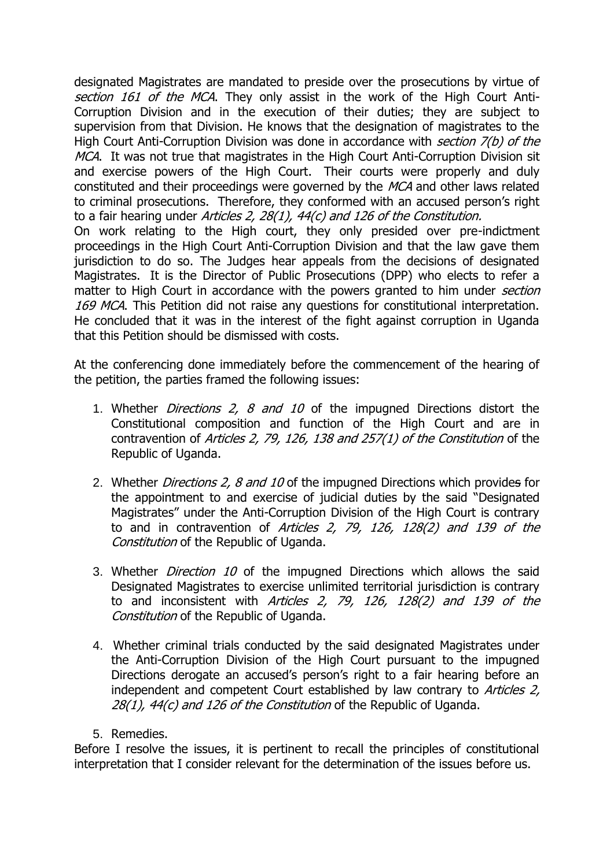designated Magistrates are mandated to preside over the prosecutions by virtue of section 161 of the MCA. They only assist in the work of the High Court Anti-Corruption Division and in the execution of their duties; they are subject to supervision from that Division. He knows that the designation of magistrates to the High Court Anti-Corruption Division was done in accordance with *section 7(b) of the* MCA. It was not true that magistrates in the High Court Anti-Corruption Division sit and exercise powers of the High Court. Their courts were properly and duly constituted and their proceedings were governed by the MCA and other laws related to criminal prosecutions. Therefore, they conformed with an accused person's right to a fair hearing under Articles 2, 28(1), 44(c) and 126 of the Constitution. On work relating to the High court, they only presided over pre-indictment proceedings in the High Court Anti-Corruption Division and that the law gave them jurisdiction to do so. The Judges hear appeals from the decisions of designated Magistrates. It is the Director of Public Prosecutions (DPP) who elects to refer a matter to High Court in accordance with the powers granted to him under *section* 169 MCA. This Petition did not raise any questions for constitutional interpretation. He concluded that it was in the interest of the fight against corruption in Uganda that this Petition should be dismissed with costs.

At the conferencing done immediately before the commencement of the hearing of the petition, the parties framed the following issues:

- 1. Whether Directions 2, 8 and 10 of the impugned Directions distort the Constitutional composition and function of the High Court and are in contravention of Articles 2, 79, 126, 138 and 257(1) of the Constitution of the Republic of Uganda.
- 2. Whether *Directions 2, 8 and 10* of the impugned Directions which provides for the appointment to and exercise of judicial duties by the said "Designated Magistrates" under the Anti-Corruption Division of the High Court is contrary to and in contravention of Articles 2, 79, 126, 128(2) and 139 of the Constitution of the Republic of Uganda.
- 3. Whether *Direction 10* of the impugned Directions which allows the said Designated Magistrates to exercise unlimited territorial jurisdiction is contrary to and inconsistent with Articles 2, 79, 126, 128(2) and 139 of the Constitution of the Republic of Uganda.
- 4. Whether criminal trials conducted by the said designated Magistrates under the Anti-Corruption Division of the High Court pursuant to the impugned Directions derogate an accused's person's right to a fair hearing before an independent and competent Court established by law contrary to Articles 2, 28(1), 44(c) and 126 of the Constitution of the Republic of Uganda.
- 5. Remedies.

Before I resolve the issues, it is pertinent to recall the principles of constitutional interpretation that I consider relevant for the determination of the issues before us.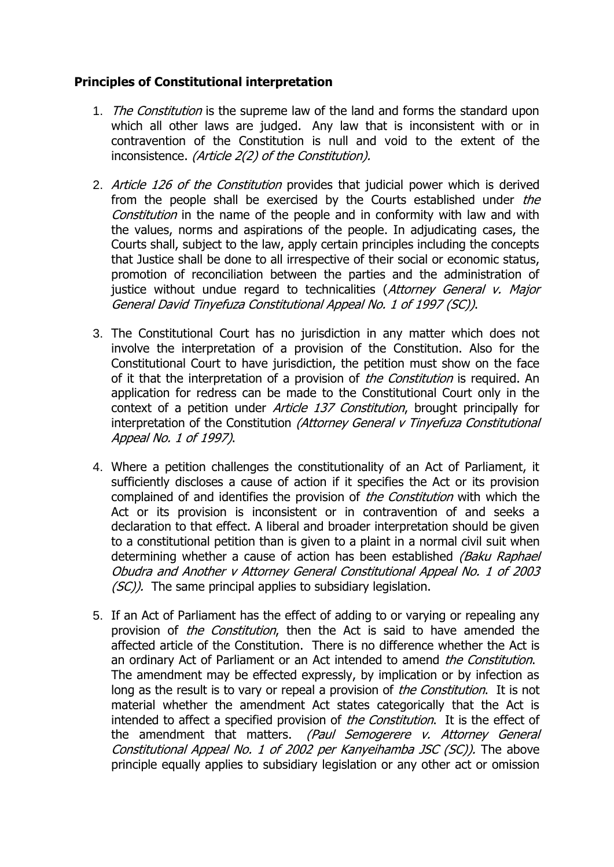## **Principles of Constitutional interpretation**

- 1. The Constitution is the supreme law of the land and forms the standard upon which all other laws are judged. Any law that is inconsistent with or in contravention of the Constitution is null and void to the extent of the inconsistence. (Article 2(2) of the Constitution).
- 2. Article 126 of the Constitution provides that judicial power which is derived from the people shall be exercised by the Courts established under the Constitution in the name of the people and in conformity with law and with the values, norms and aspirations of the people. In adjudicating cases, the Courts shall, subject to the law, apply certain principles including the concepts that Justice shall be done to all irrespective of their social or economic status, promotion of reconciliation between the parties and the administration of justice without undue regard to technicalities (Attorney General v. Major General David Tinyefuza Constitutional Appeal No. 1 of 1997 (SC)).
- 3. The Constitutional Court has no jurisdiction in any matter which does not involve the interpretation of a provision of the Constitution. Also for the Constitutional Court to have jurisdiction, the petition must show on the face of it that the interpretation of a provision of *the Constitution* is required. An application for redress can be made to the Constitutional Court only in the context of a petition under *Article 137 Constitution*, brought principally for interpretation of the Constitution (Attorney General v Tinyefuza Constitutional Appeal No. 1 of 1997).
- 4. Where a petition challenges the constitutionality of an Act of Parliament, it sufficiently discloses a cause of action if it specifies the Act or its provision complained of and identifies the provision of the Constitution with which the Act or its provision is inconsistent or in contravention of and seeks a declaration to that effect. A liberal and broader interpretation should be given to a constitutional petition than is given to a plaint in a normal civil suit when determining whether a cause of action has been established *(Baku Raphael*) Obudra and Another v Attorney General Constitutional Appeal No. 1 of 2003  $(SC)$ ). The same principal applies to subsidiary legislation.
- 5. If an Act of Parliament has the effect of adding to or varying or repealing any provision of *the Constitution*, then the Act is said to have amended the affected article of the Constitution. There is no difference whether the Act is an ordinary Act of Parliament or an Act intended to amend *the Constitution*. The amendment may be effected expressly, by implication or by infection as long as the result is to vary or repeal a provision of the Constitution. It is not material whether the amendment Act states categorically that the Act is intended to affect a specified provision of *the Constitution*. It is the effect of the amendment that matters. (Paul Semogerere v. Attorney General Constitutional Appeal No. 1 of 2002 per Kanyeihamba JSC (SC)). The above principle equally applies to subsidiary legislation or any other act or omission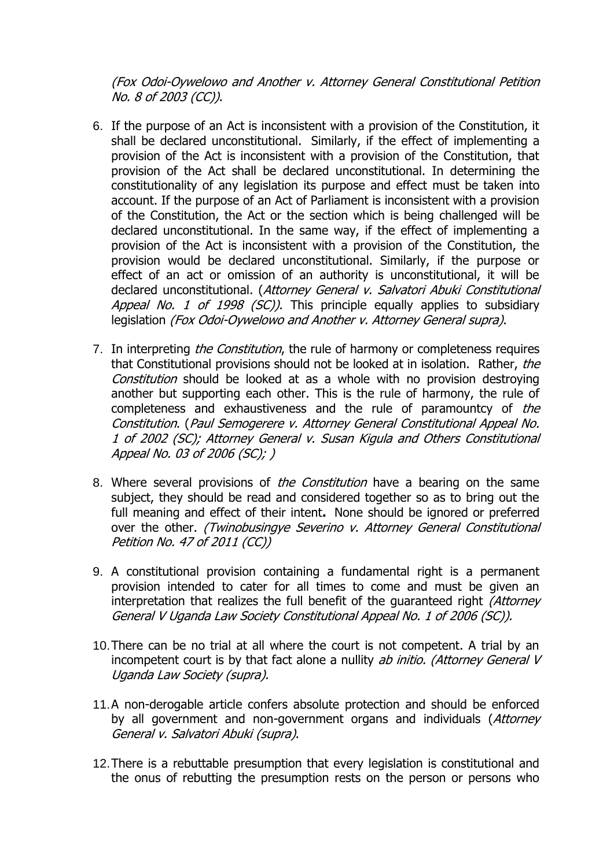(Fox Odoi-Oywelowo and Another v. Attorney General Constitutional Petition No. 8 of 2003 (CC)).

- 6. If the purpose of an Act is inconsistent with a provision of the Constitution, it shall be declared unconstitutional. Similarly, if the effect of implementing a provision of the Act is inconsistent with a provision of the Constitution, that provision of the Act shall be declared unconstitutional. In determining the constitutionality of any legislation its purpose and effect must be taken into account. If the purpose of an Act of Parliament is inconsistent with a provision of the Constitution, the Act or the section which is being challenged will be declared unconstitutional. In the same way, if the effect of implementing a provision of the Act is inconsistent with a provision of the Constitution, the provision would be declared unconstitutional. Similarly, if the purpose or effect of an act or omission of an authority is unconstitutional, it will be declared unconstitutional. (Attorney General v. Salvatori Abuki Constitutional Appeal No. 1 of 1998 (SC)). This principle equally applies to subsidiary legislation (Fox Odoi-Oywelowo and Another v. Attorney General supra).
- 7. In interpreting *the Constitution*, the rule of harmony or completeness requires that Constitutional provisions should not be looked at in isolation. Rather, the Constitution should be looked at as a whole with no provision destroying another but supporting each other. This is the rule of harmony, the rule of completeness and exhaustiveness and the rule of paramountcy of the Constitution. (Paul Semogerere v. Attorney General Constitutional Appeal No. 1 of 2002 (SC); Attorney General v. Susan Kigula and Others Constitutional Appeal No. 03 of 2006 (SC); )
- 8. Where several provisions of *the Constitution* have a bearing on the same subject, they should be read and considered together so as to bring out the full meaning and effect of their intent**.** None should be ignored or preferred over the other. (Twinobusingye Severino v. Attorney General Constitutional Petition No. 47 of 2011 (CC))
- 9. A constitutional provision containing a fundamental right is a permanent provision intended to cater for all times to come and must be given an interpretation that realizes the full benefit of the guaranteed right (Attorney General V Uganda Law Society Constitutional Appeal No. 1 of 2006 (SC)).
- 10.There can be no trial at all where the court is not competent. A trial by an incompetent court is by that fact alone a nullity ab initio. (Attorney General V Uganda Law Society (supra).
- 11.A non-derogable article confers absolute protection and should be enforced by all government and non-government organs and individuals (Attorney General v. Salvatori Abuki (supra).
- 12.There is a rebuttable presumption that every legislation is constitutional and the onus of rebutting the presumption rests on the person or persons who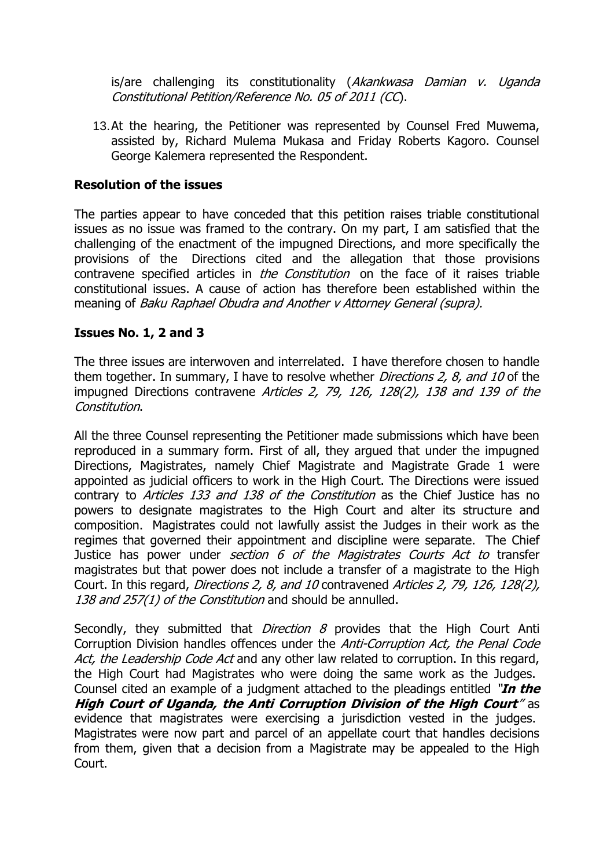is/are challenging its constitutionality (Akankwasa Damian v. Uganda Constitutional Petition/Reference No. 05 of 2011 (CC).

13.At the hearing, the Petitioner was represented by Counsel Fred Muwema, assisted by, Richard Mulema Mukasa and Friday Roberts Kagoro. Counsel George Kalemera represented the Respondent.

### **Resolution of the issues**

The parties appear to have conceded that this petition raises triable constitutional issues as no issue was framed to the contrary. On my part, I am satisfied that the challenging of the enactment of the impugned Directions, and more specifically the provisions of the Directions cited and the allegation that those provisions contravene specified articles in *the Constitution* on the face of it raises triable constitutional issues. A cause of action has therefore been established within the meaning of Baku Raphael Obudra and Another v Attorney General (supra).

### **Issues No. 1, 2 and 3**

The three issues are interwoven and interrelated. I have therefore chosen to handle them together. In summary, I have to resolve whether *Directions 2, 8, and 10* of the impugned Directions contravene Articles 2, 79, 126, 128(2), 138 and 139 of the Constitution.

All the three Counsel representing the Petitioner made submissions which have been reproduced in a summary form. First of all, they argued that under the impugned Directions, Magistrates, namely Chief Magistrate and Magistrate Grade 1 were appointed as judicial officers to work in the High Court. The Directions were issued contrary to Articles 133 and 138 of the Constitution as the Chief Justice has no powers to designate magistrates to the High Court and alter its structure and composition. Magistrates could not lawfully assist the Judges in their work as the regimes that governed their appointment and discipline were separate. The Chief Justice has power under *section 6 of the Magistrates Courts Act to* transfer magistrates but that power does not include a transfer of a magistrate to the High Court. In this regard, Directions 2, 8, and 10 contravened Articles 2, 79, 126, 128(2), 138 and 257(1) of the Constitution and should be annulled.

Secondly, they submitted that *Direction 8* provides that the High Court Anti Corruption Division handles offences under the Anti-Corruption Act, the Penal Code Act, the Leadership Code Act and any other law related to corruption. In this regard, the High Court had Magistrates who were doing the same work as the Judges. Counsel cited an example of a judgment attached to the pleadings entitled "**In the High Court of Uganda, the Anti Corruption Division of the High Court**" as evidence that magistrates were exercising a jurisdiction vested in the judges. Magistrates were now part and parcel of an appellate court that handles decisions from them, given that a decision from a Magistrate may be appealed to the High Court.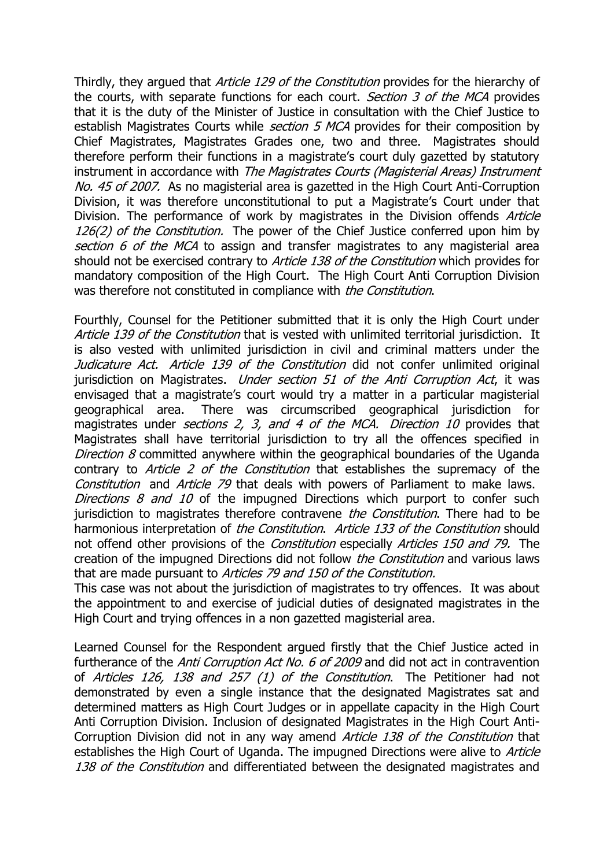Thirdly, they argued that *Article 129 of the Constitution* provides for the hierarchy of the courts, with separate functions for each court. Section 3 of the MCA provides that it is the duty of the Minister of Justice in consultation with the Chief Justice to establish Magistrates Courts while *section 5 MCA* provides for their composition by Chief Magistrates, Magistrates Grades one, two and three. Magistrates should therefore perform their functions in a magistrate's court duly gazetted by statutory instrument in accordance with The Magistrates Courts (Magisterial Areas) Instrument No. 45 of 2007. As no magisterial area is gazetted in the High Court Anti-Corruption Division, it was therefore unconstitutional to put a Magistrate's Court under that Division. The performance of work by magistrates in the Division offends Article 126(2) of the Constitution. The power of the Chief Justice conferred upon him by section 6 of the MCA to assign and transfer magistrates to any magisterial area should not be exercised contrary to Article 138 of the Constitution which provides for mandatory composition of the High Court. The High Court Anti Corruption Division was therefore not constituted in compliance with *the Constitution*.

Fourthly, Counsel for the Petitioner submitted that it is only the High Court under Article 139 of the Constitution that is vested with unlimited territorial jurisdiction. It is also vested with unlimited jurisdiction in civil and criminal matters under the Judicature Act. Article 139 of the Constitution did not confer unlimited original jurisdiction on Magistrates. *Under section 51 of the Anti Corruption Act*, it was envisaged that a magistrate's court would try a matter in a particular magisterial geographical area. There was circumscribed geographical jurisdiction for magistrates under *sections 2, 3, and 4 of the MCA. Direction 10* provides that Magistrates shall have territorial jurisdiction to try all the offences specified in Direction 8 committed anywhere within the geographical boundaries of the Uganda contrary to Article 2 of the Constitution that establishes the supremacy of the Constitution and Article 79 that deals with powers of Parliament to make laws. Directions  $8$  and  $10$  of the impugned Directions which purport to confer such jurisdiction to magistrates therefore contravene *the Constitution*. There had to be harmonious interpretation of the Constitution. Article 133 of the Constitution should not offend other provisions of the *Constitution* especially *Articles 150 and 79.* The creation of the impugned Directions did not follow *the Constitution* and various laws that are made pursuant to Articles 79 and 150 of the Constitution.

This case was not about the jurisdiction of magistrates to try offences. It was about the appointment to and exercise of judicial duties of designated magistrates in the High Court and trying offences in a non gazetted magisterial area.

Learned Counsel for the Respondent argued firstly that the Chief Justice acted in furtherance of the *Anti Corruption Act No. 6 of 2009* and did not act in contravention of Articles 126, 138 and 257 (1) of the Constitution. The Petitioner had not demonstrated by even a single instance that the designated Magistrates sat and determined matters as High Court Judges or in appellate capacity in the High Court Anti Corruption Division. Inclusion of designated Magistrates in the High Court Anti-Corruption Division did not in any way amend Article 138 of the Constitution that establishes the High Court of Uganda. The impugned Directions were alive to Article 138 of the Constitution and differentiated between the designated magistrates and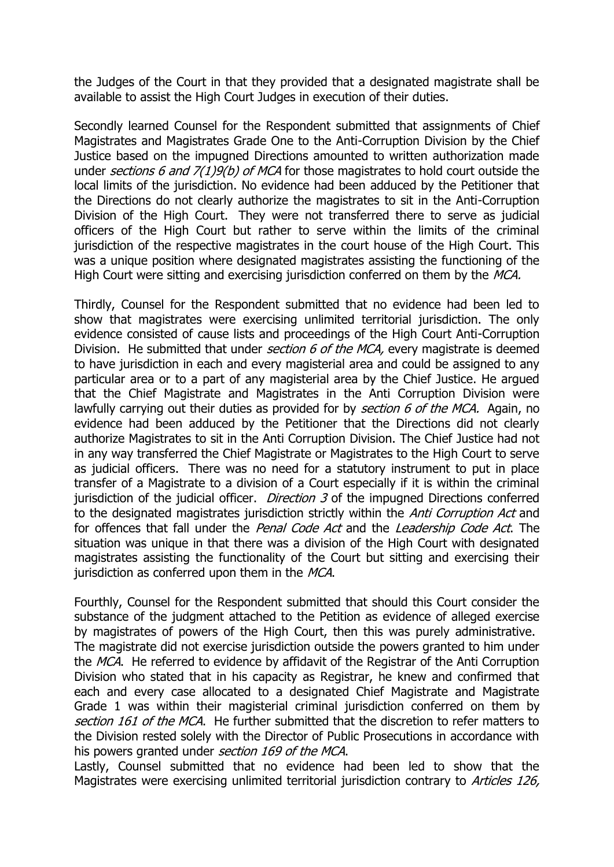the Judges of the Court in that they provided that a designated magistrate shall be available to assist the High Court Judges in execution of their duties.

Secondly learned Counsel for the Respondent submitted that assignments of Chief Magistrates and Magistrates Grade One to the Anti-Corruption Division by the Chief Justice based on the impugned Directions amounted to written authorization made under sections 6 and 7(1)9(b) of MCA for those magistrates to hold court outside the local limits of the jurisdiction. No evidence had been adduced by the Petitioner that the Directions do not clearly authorize the magistrates to sit in the Anti-Corruption Division of the High Court. They were not transferred there to serve as judicial officers of the High Court but rather to serve within the limits of the criminal jurisdiction of the respective magistrates in the court house of the High Court. This was a unique position where designated magistrates assisting the functioning of the High Court were sitting and exercising jurisdiction conferred on them by the MCA.

Thirdly, Counsel for the Respondent submitted that no evidence had been led to show that magistrates were exercising unlimited territorial jurisdiction. The only evidence consisted of cause lists and proceedings of the High Court Anti-Corruption Division. He submitted that under *section 6 of the MCA*, every magistrate is deemed to have jurisdiction in each and every magisterial area and could be assigned to any particular area or to a part of any magisterial area by the Chief Justice. He argued that the Chief Magistrate and Magistrates in the Anti Corruption Division were lawfully carrying out their duties as provided for by section 6 of the MCA. Again, no evidence had been adduced by the Petitioner that the Directions did not clearly authorize Magistrates to sit in the Anti Corruption Division. The Chief Justice had not in any way transferred the Chief Magistrate or Magistrates to the High Court to serve as judicial officers. There was no need for a statutory instrument to put in place transfer of a Magistrate to a division of a Court especially if it is within the criminal jurisdiction of the judicial officer. *Direction 3* of the impugned Directions conferred to the designated magistrates jurisdiction strictly within the *Anti Corruption Act* and for offences that fall under the *Penal Code Act* and the *Leadership Code Act*. The situation was unique in that there was a division of the High Court with designated magistrates assisting the functionality of the Court but sitting and exercising their jurisdiction as conferred upon them in the MCA.

Fourthly, Counsel for the Respondent submitted that should this Court consider the substance of the judgment attached to the Petition as evidence of alleged exercise by magistrates of powers of the High Court, then this was purely administrative. The magistrate did not exercise jurisdiction outside the powers granted to him under the MCA. He referred to evidence by affidavit of the Registrar of the Anti Corruption Division who stated that in his capacity as Registrar, he knew and confirmed that each and every case allocated to a designated Chief Magistrate and Magistrate Grade 1 was within their magisterial criminal jurisdiction conferred on them by section 161 of the MCA. He further submitted that the discretion to refer matters to the Division rested solely with the Director of Public Prosecutions in accordance with his powers granted under *section 169 of the MCA*.

Lastly, Counsel submitted that no evidence had been led to show that the Magistrates were exercising unlimited territorial jurisdiction contrary to Articles 126,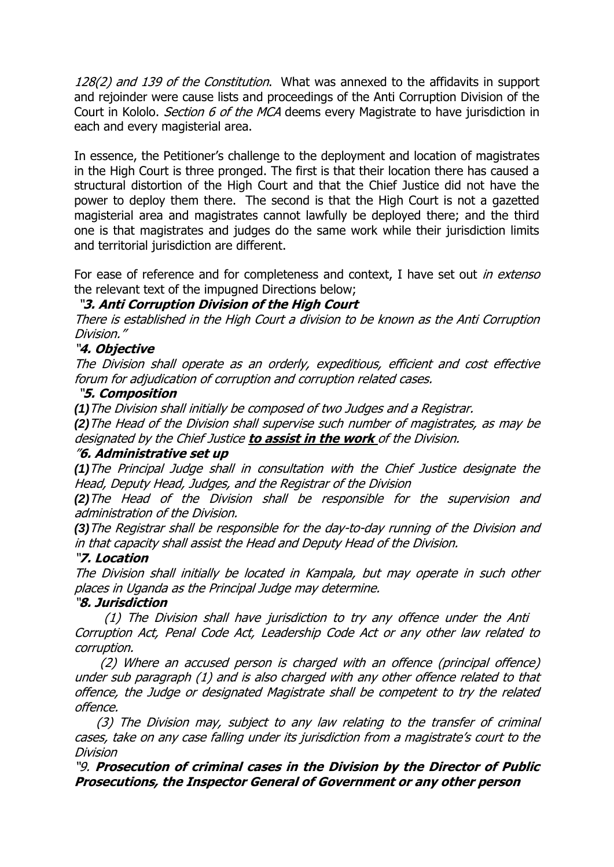128(2) and 139 of the Constitution. What was annexed to the affidavits in support and rejoinder were cause lists and proceedings of the Anti Corruption Division of the Court in Kololo. *Section 6 of the MCA* deems every Magistrate to have jurisdiction in each and every magisterial area.

In essence, the Petitioner's challenge to the deployment and location of magistrates in the High Court is three pronged. The first is that their location there has caused a structural distortion of the High Court and that the Chief Justice did not have the power to deploy them there. The second is that the High Court is not a gazetted magisterial area and magistrates cannot lawfully be deployed there; and the third one is that magistrates and judges do the same work while their jurisdiction limits and territorial jurisdiction are different.

For ease of reference and for completeness and context, I have set out *in extenso* the relevant text of the impugned Directions below;

### "**3. Anti Corruption Division of the High Court**

There is established in the High Court a division to be known as the Anti Corruption Division."

### "**4. Objective**

The Division shall operate as an orderly, expeditious, efficient and cost effective forum for adjudication of corruption and corruption related cases.

#### "**5. Composition**

*(1)*The Division shall initially be composed of two Judges and a Registrar.

*(2)*The Head of the Division shall supervise such number of magistrates, as may be designated by the Chief Justice **to assist in the work** of the Division.

#### "**6. Administrative set up**

*(1)*The Principal Judge shall in consultation with the Chief Justice designate the Head, Deputy Head, Judges, and the Registrar of the Division

*(2)*The Head of the Division shall be responsible for the supervision and administration of the Division.

*(3)*The Registrar shall be responsible for the day-to-day running of the Division and in that capacity shall assist the Head and Deputy Head of the Division.

#### "**7. Location**

The Division shall initially be located in Kampala, but may operate in such other places in Uganda as the Principal Judge may determine.

#### "**8. Jurisdiction**

 (1) The Division shall have jurisdiction to try any offence under the Anti Corruption Act, Penal Code Act, Leadership Code Act or any other law related to corruption.

 (2) Where an accused person is charged with an offence (principal offence) under sub paragraph (1) and is also charged with any other offence related to that offence, the Judge or designated Magistrate shall be competent to try the related offence.

 (3) The Division may, subject to any law relating to the transfer of criminal cases, take on any case falling under its jurisdiction from a magistrate's court to the Division

"9. **Prosecution of criminal cases in the Division by the Director of Public Prosecutions, the Inspector General of Government or any other person**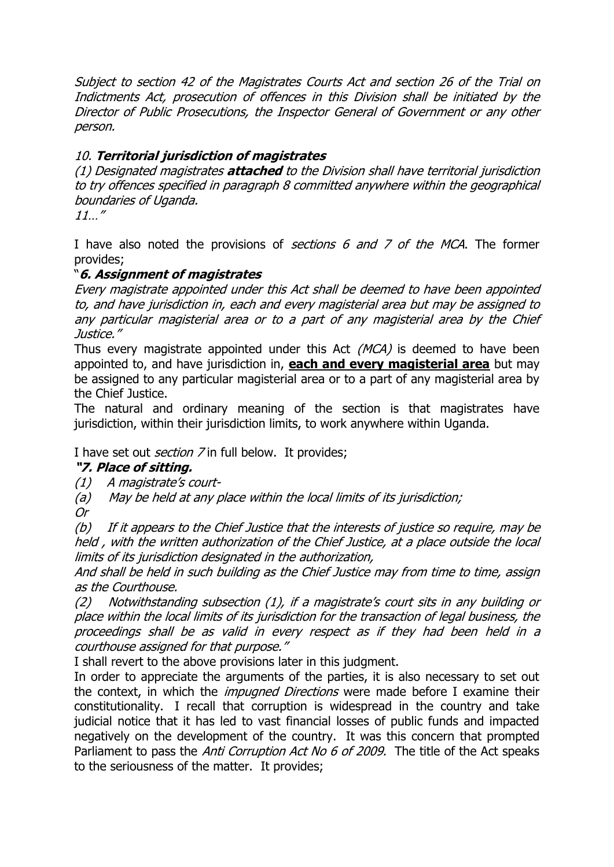Subject to section 42 of the Magistrates Courts Act and section 26 of the Trial on Indictments Act, prosecution of offences in this Division shall be initiated by the Director of Public Prosecutions, the Inspector General of Government or any other person.

# 10. **Territorial jurisdiction of magistrates**

(1) Designated magistrates **attached** to the Division shall have territorial jurisdiction to try offences specified in paragraph 8 committed anywhere within the geographical boundaries of Uganda.

11…"

I have also noted the provisions of *sections 6 and 7 of the MCA*. The former provides;

## "**6. Assignment of magistrates**

Every magistrate appointed under this Act shall be deemed to have been appointed to, and have jurisdiction in, each and every magisterial area but may be assigned to any particular magisterial area or to a part of any magisterial area by the Chief Justice."

Thus every magistrate appointed under this Act  $(MCA)$  is deemed to have been appointed to, and have jurisdiction in, **each and every magisterial area** but may be assigned to any particular magisterial area or to a part of any magisterial area by the Chief Justice.

The natural and ordinary meaning of the section is that magistrates have jurisdiction, within their jurisdiction limits, to work anywhere within Uganda.

### I have set out *section* 7 in full below. It provides;

### **"7. Place of sitting.**

(1)A magistrate's court-

(a)May be held at any place within the local limits of its jurisdiction;

Or

(b)If it appears to the Chief Justice that the interests of justice so require, may be held , with the written authorization of the Chief Justice, at a place outside the local limits of its jurisdiction designated in the authorization,

And shall be held in such building as the Chief Justice may from time to time, assign as the Courthouse.

(2)Notwithstanding subsection (1), if a magistrate's court sits in any building or place within the local limits of its jurisdiction for the transaction of legal business, the proceedings shall be as valid in every respect as if they had been held in a courthouse assigned for that purpose."

I shall revert to the above provisions later in this judgment.

In order to appreciate the arguments of the parties, it is also necessary to set out the context, in which the *impugned Directions* were made before I examine their constitutionality. I recall that corruption is widespread in the country and take judicial notice that it has led to vast financial losses of public funds and impacted negatively on the development of the country. It was this concern that prompted Parliament to pass the Anti Corruption Act No 6 of 2009. The title of the Act speaks to the seriousness of the matter. It provides;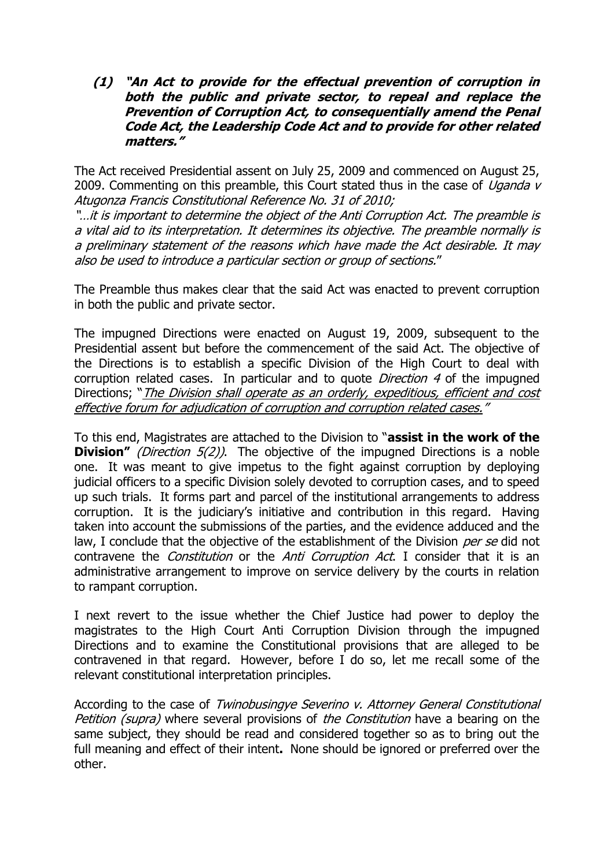**(1) "An Act to provide for the effectual prevention of corruption in both the public and private sector, to repeal and replace the Prevention of Corruption Act, to consequentially amend the Penal Code Act, the Leadership Code Act and to provide for other related matters."**

The Act received Presidential assent on July 25, 2009 and commenced on August 25, 2009. Commenting on this preamble, this Court stated thus in the case of *Uganda v* Atugonza Francis Constitutional Reference No. 31 of 2010;

"…it is important to determine the object of the Anti Corruption Act. The preamble is a vital aid to its interpretation. It determines its objective. The preamble normally is a preliminary statement of the reasons which have made the Act desirable. It may also be used to introduce a particular section or group of sections."

The Preamble thus makes clear that the said Act was enacted to prevent corruption in both the public and private sector.

The impugned Directions were enacted on August 19, 2009, subsequent to the Presidential assent but before the commencement of the said Act. The objective of the Directions is to establish a specific Division of the High Court to deal with corruption related cases. In particular and to quote *Direction 4* of the impugned Directions; "*The Division shall operate as an orderly, expeditious, efficient and cost* effective forum for adjudication of corruption and corruption related cases."

To this end, Magistrates are attached to the Division to "**assist in the work of the Division"** (Direction 5(2)). The objective of the impugned Directions is a noble one. It was meant to give impetus to the fight against corruption by deploying judicial officers to a specific Division solely devoted to corruption cases, and to speed up such trials. It forms part and parcel of the institutional arrangements to address corruption. It is the judiciary's initiative and contribution in this regard. Having taken into account the submissions of the parties, and the evidence adduced and the law, I conclude that the objective of the establishment of the Division per se did not contravene the *Constitution* or the *Anti Corruption Act*. I consider that it is an administrative arrangement to improve on service delivery by the courts in relation to rampant corruption.

I next revert to the issue whether the Chief Justice had power to deploy the magistrates to the High Court Anti Corruption Division through the impugned Directions and to examine the Constitutional provisions that are alleged to be contravened in that regard. However, before I do so, let me recall some of the relevant constitutional interpretation principles.

According to the case of Twinobusingye Severino v. Attorney General Constitutional Petition (supra) where several provisions of the Constitution have a bearing on the same subject, they should be read and considered together so as to bring out the full meaning and effect of their intent**.** None should be ignored or preferred over the other.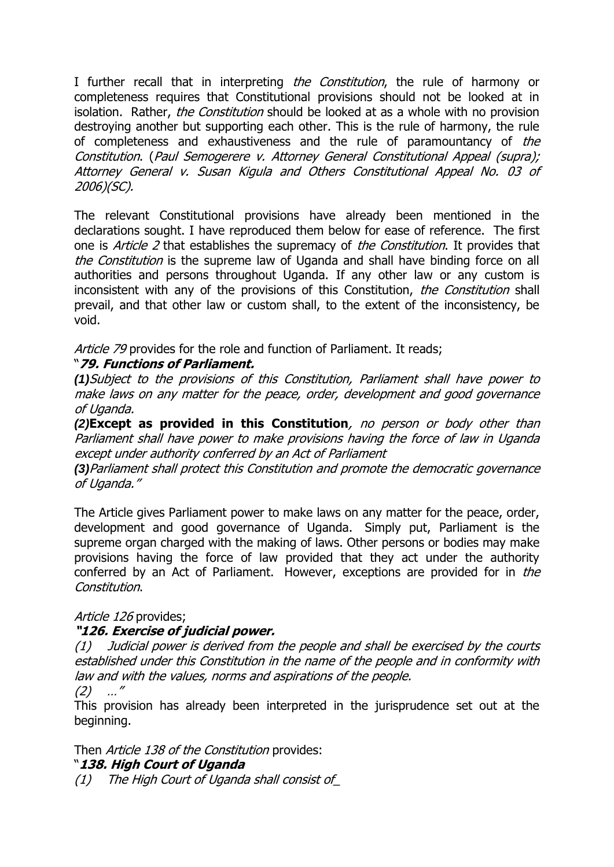I further recall that in interpreting the Constitution, the rule of harmony or completeness requires that Constitutional provisions should not be looked at in isolation. Rather, the Constitution should be looked at as a whole with no provision destroying another but supporting each other. This is the rule of harmony, the rule of completeness and exhaustiveness and the rule of paramountancy of the Constitution. (Paul Semogerere v. Attorney General Constitutional Appeal (supra); Attorney General v. Susan Kigula and Others Constitutional Appeal No. 03 of 2006)(SC).

The relevant Constitutional provisions have already been mentioned in the declarations sought. I have reproduced them below for ease of reference. The first one is *Article 2* that establishes the supremacy of *the Constitution*. It provides that the Constitution is the supreme law of Uganda and shall have binding force on all authorities and persons throughout Uganda. If any other law or any custom is inconsistent with any of the provisions of this Constitution, the Constitution shall prevail, and that other law or custom shall, to the extent of the inconsistency, be void.

Article 79 provides for the role and function of Parliament. It reads;

# "**79. Functions of Parliament.**

*(1)*Subject to the provisions of this Constitution, Parliament shall have power to make laws on any matter for the peace, order, development and good governance of Uganda.

*(2)***Except as provided in this Constitution**, no person or body other than Parliament shall have power to make provisions having the force of law in Uganda except under authority conferred by an Act of Parliament

*(3)*Parliament shall protect this Constitution and promote the democratic governance of Uganda."

The Article gives Parliament power to make laws on any matter for the peace, order, development and good governance of Uganda. Simply put, Parliament is the supreme organ charged with the making of laws. Other persons or bodies may make provisions having the force of law provided that they act under the authority conferred by an Act of Parliament. However, exceptions are provided for in the Constitution.

# Article 126 provides:

# **"126. Exercise of judicial power.**

(1)Judicial power is derived from the people and shall be exercised by the courts established under this Constitution in the name of the people and in conformity with law and with the values, norms and aspirations of the people.

(2)…"

This provision has already been interpreted in the jurisprudence set out at the beginning.

Then Article 138 of the Constitution provides:

# "**138. High Court of Uganda**

(1)The High Court of Uganda shall consist of\_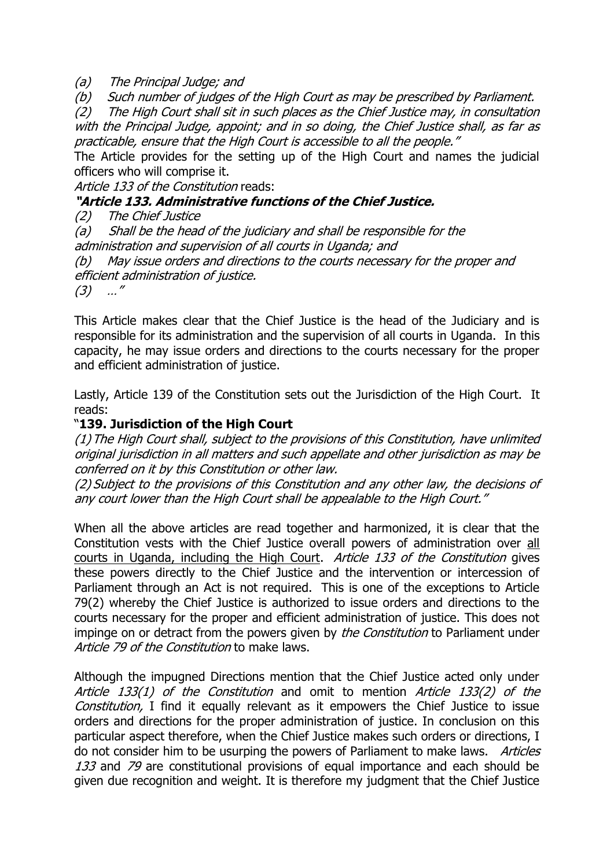#### (a)The Principal Judge; and

(b)Such number of judges of the High Court as may be prescribed by Parliament.

(2)The High Court shall sit in such places as the Chief Justice may, in consultation with the Principal Judge, appoint; and in so doing, the Chief Justice shall, as far as practicable, ensure that the High Court is accessible to all the people."

The Article provides for the setting up of the High Court and names the judicial officers who will comprise it.

Article 133 of the Constitution reads:

## **"Article 133. Administrative functions of the Chief Justice.**

(2)The Chief Justice

(a)Shall be the head of the judiciary and shall be responsible for the administration and supervision of all courts in Uganda; and

(b)May issue orders and directions to the courts necessary for the proper and efficient administration of justice.

(3)…"

This Article makes clear that the Chief Justice is the head of the Judiciary and is responsible for its administration and the supervision of all courts in Uganda. In this capacity, he may issue orders and directions to the courts necessary for the proper and efficient administration of justice.

Lastly, Article 139 of the Constitution sets out the Jurisdiction of the High Court. It reads:

# "**139. Jurisdiction of the High Court**

(1)The High Court shall, subject to the provisions of this Constitution, have unlimited original jurisdiction in all matters and such appellate and other jurisdiction as may be conferred on it by this Constitution or other law.

(2) Subject to the provisions of this Constitution and any other law, the decisions of any court lower than the High Court shall be appealable to the High Court."

When all the above articles are read together and harmonized, it is clear that the Constitution vests with the Chief Justice overall powers of administration over all courts in Uganda, including the High Court. Article 133 of the Constitution gives these powers directly to the Chief Justice and the intervention or intercession of Parliament through an Act is not required. This is one of the exceptions to Article 79(2) whereby the Chief Justice is authorized to issue orders and directions to the courts necessary for the proper and efficient administration of justice. This does not impinge on or detract from the powers given by *the Constitution* to Parliament under Article 79 of the Constitution to make laws.

Although the impugned Directions mention that the Chief Justice acted only under Article 133(1) of the Constitution and omit to mention Article 133(2) of the Constitution, I find it equally relevant as it empowers the Chief Justice to issue orders and directions for the proper administration of justice. In conclusion on this particular aspect therefore, when the Chief Justice makes such orders or directions, I do not consider him to be usurping the powers of Parliament to make laws. Articles 133 and 79 are constitutional provisions of equal importance and each should be given due recognition and weight. It is therefore my judgment that the Chief Justice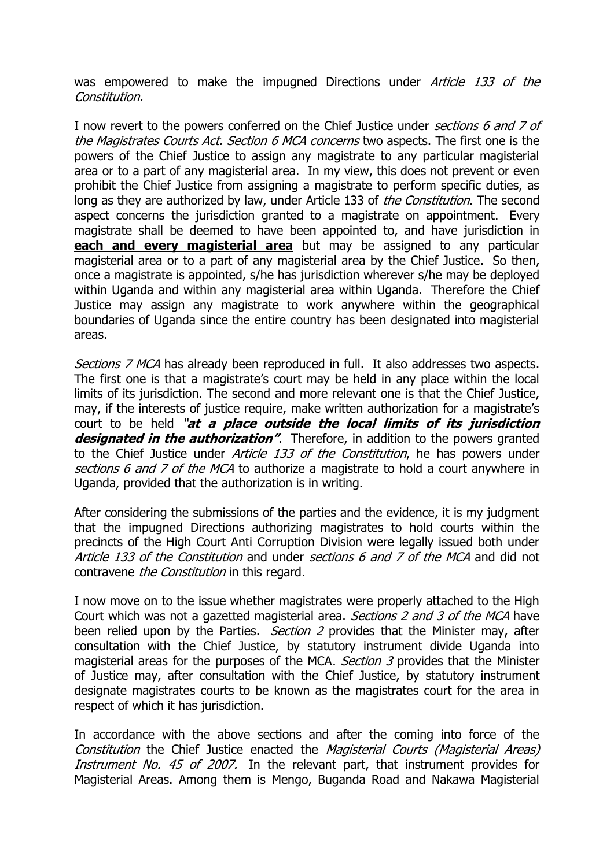was empowered to make the impugned Directions under Article 133 of the Constitution.

I now revert to the powers conferred on the Chief Justice under *sections 6 and 7 of* the Magistrates Courts Act. Section 6 MCA concerns two aspects. The first one is the powers of the Chief Justice to assign any magistrate to any particular magisterial area or to a part of any magisterial area. In my view, this does not prevent or even prohibit the Chief Justice from assigning a magistrate to perform specific duties, as long as they are authorized by law, under Article 133 of the Constitution. The second aspect concerns the jurisdiction granted to a magistrate on appointment. Every magistrate shall be deemed to have been appointed to, and have jurisdiction in **each and every magisterial area** but may be assigned to any particular magisterial area or to a part of any magisterial area by the Chief Justice. So then, once a magistrate is appointed, s/he has jurisdiction wherever s/he may be deployed within Uganda and within any magisterial area within Uganda. Therefore the Chief Justice may assign any magistrate to work anywhere within the geographical boundaries of Uganda since the entire country has been designated into magisterial areas.

Sections 7 MCA has already been reproduced in full. It also addresses two aspects. The first one is that a magistrate's court may be held in any place within the local limits of its jurisdiction. The second and more relevant one is that the Chief Justice, may, if the interests of justice require, make written authorization for a magistrate's court to be held "**at a place outside the local limits of its jurisdiction**  designated in the authorization". Therefore, in addition to the powers granted to the Chief Justice under Article 133 of the Constitution, he has powers under sections 6 and 7 of the MCA to authorize a magistrate to hold a court anywhere in Uganda, provided that the authorization is in writing.

After considering the submissions of the parties and the evidence, it is my judgment that the impugned Directions authorizing magistrates to hold courts within the precincts of the High Court Anti Corruption Division were legally issued both under Article 133 of the Constitution and under sections 6 and 7 of the MCA and did not contravene the Constitution in this regard.

I now move on to the issue whether magistrates were properly attached to the High Court which was not a gazetted magisterial area. Sections 2 and 3 of the MCA have been relied upon by the Parties. *Section 2* provides that the Minister may, after consultation with the Chief Justice, by statutory instrument divide Uganda into magisterial areas for the purposes of the MCA. Section 3 provides that the Minister of Justice may, after consultation with the Chief Justice, by statutory instrument designate magistrates courts to be known as the magistrates court for the area in respect of which it has jurisdiction.

In accordance with the above sections and after the coming into force of the Constitution the Chief Justice enacted the Magisterial Courts (Magisterial Areas) Instrument No. 45 of 2007. In the relevant part, that instrument provides for Magisterial Areas. Among them is Mengo, Buganda Road and Nakawa Magisterial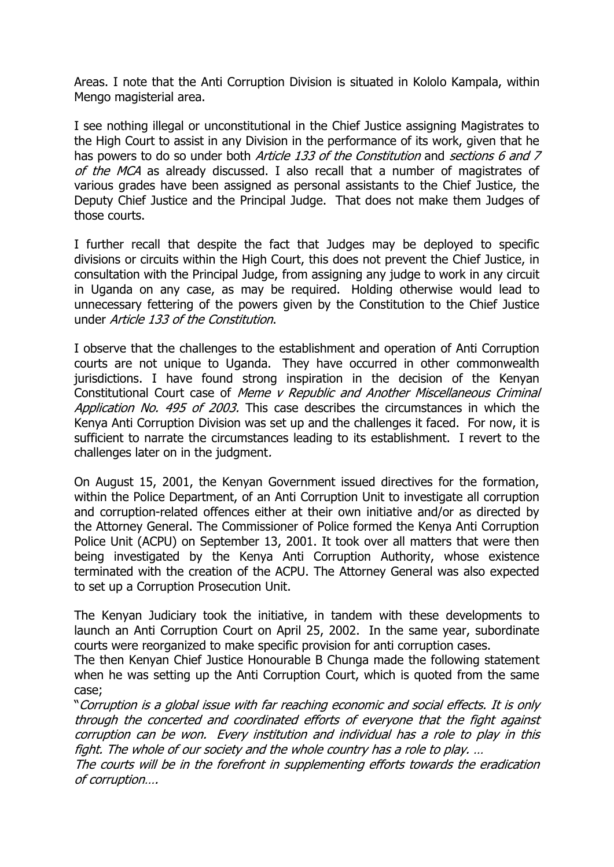Areas. I note that the Anti Corruption Division is situated in Kololo Kampala, within Mengo magisterial area.

I see nothing illegal or unconstitutional in the Chief Justice assigning Magistrates to the High Court to assist in any Division in the performance of its work, given that he has powers to do so under both Article 133 of the Constitution and sections 6 and 7 of the MCA as already discussed. I also recall that a number of magistrates of various grades have been assigned as personal assistants to the Chief Justice, the Deputy Chief Justice and the Principal Judge. That does not make them Judges of those courts.

I further recall that despite the fact that Judges may be deployed to specific divisions or circuits within the High Court, this does not prevent the Chief Justice, in consultation with the Principal Judge, from assigning any judge to work in any circuit in Uganda on any case, as may be required. Holding otherwise would lead to unnecessary fettering of the powers given by the Constitution to the Chief Justice under Article 133 of the Constitution.

I observe that the challenges to the establishment and operation of Anti Corruption courts are not unique to Uganda. They have occurred in other commonwealth jurisdictions. I have found strong inspiration in the decision of the Kenyan Constitutional Court case of Meme v Republic and Another Miscellaneous Criminal Application No. 495 of 2003. This case describes the circumstances in which the Kenya Anti Corruption Division was set up and the challenges it faced. For now, it is sufficient to narrate the circumstances leading to its establishment. I revert to the challenges later on in the judgment.

On August 15, 2001, the Kenyan Government issued directives for the formation, within the Police Department, of an Anti Corruption Unit to investigate all corruption and corruption-related offences either at their own initiative and/or as directed by the Attorney General. The Commissioner of Police formed the Kenya Anti Corruption Police Unit (ACPU) on September 13, 2001. It took over all matters that were then being investigated by the Kenya Anti Corruption Authority, whose existence terminated with the creation of the ACPU. The Attorney General was also expected to set up a Corruption Prosecution Unit.

The Kenyan Judiciary took the initiative, in tandem with these developments to launch an Anti Corruption Court on April 25, 2002. In the same year, subordinate courts were reorganized to make specific provision for anti corruption cases.

The then Kenyan Chief Justice Honourable B Chunga made the following statement when he was setting up the Anti Corruption Court, which is quoted from the same case;

"Corruption is a global issue with far reaching economic and social effects. It is only through the concerted and coordinated efforts of everyone that the fight against corruption can be won. Every institution and individual has a role to play in this fight. The whole of our society and the whole country has a role to play. …

The courts will be in the forefront in supplementing efforts towards the eradication of corruption….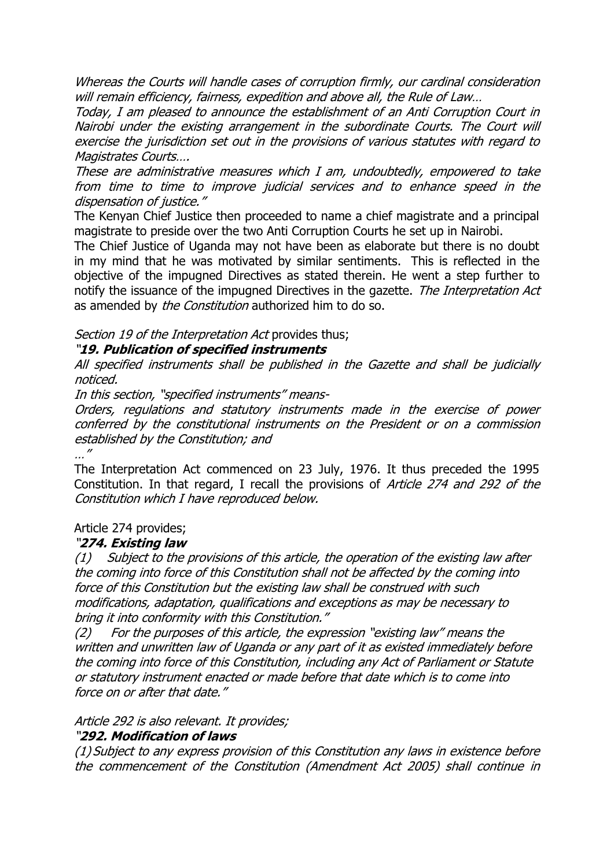Whereas the Courts will handle cases of corruption firmly, our cardinal consideration will remain efficiency, fairness, expedition and above all, the Rule of Law...

Today, I am pleased to announce the establishment of an Anti Corruption Court in Nairobi under the existing arrangement in the subordinate Courts. The Court will exercise the jurisdiction set out in the provisions of various statutes with regard to Magistrates Courts….

These are administrative measures which I am, undoubtedly, empowered to take from time to time to improve judicial services and to enhance speed in the dispensation of justice."

The Kenyan Chief Justice then proceeded to name a chief magistrate and a principal magistrate to preside over the two Anti Corruption Courts he set up in Nairobi.

The Chief Justice of Uganda may not have been as elaborate but there is no doubt in my mind that he was motivated by similar sentiments. This is reflected in the objective of the impugned Directives as stated therein. He went a step further to notify the issuance of the impugned Directives in the gazette. The Interpretation Act as amended by *the Constitution* authorized him to do so.

Section 19 of the Interpretation Act provides thus;

### "**19. Publication of specified instruments**

All specified instruments shall be published in the Gazette and shall be judicially noticed.

In this section, "specified instruments" means-

Orders, regulations and statutory instruments made in the exercise of power conferred by the constitutional instruments on the President or on a commission established by the Constitution; and …"

The Interpretation Act commenced on 23 July, 1976. It thus preceded the 1995 Constitution. In that regard, I recall the provisions of Article 274 and 292 of the Constitution which I have reproduced below.

### Article 274 provides;

### "**274. Existing law**

(1)Subject to the provisions of this article, the operation of the existing law after the coming into force of this Constitution shall not be affected by the coming into force of this Constitution but the existing law shall be construed with such modifications, adaptation, qualifications and exceptions as may be necessary to bring it into conformity with this Constitution."

(2)For the purposes of this article, the expression "existing law" means the written and unwritten law of Uganda or any part of it as existed immediately before the coming into force of this Constitution, including any Act of Parliament or Statute or statutory instrument enacted or made before that date which is to come into force on or after that date."

#### Article 292 is also relevant. It provides;

### "**292. Modification of laws**

(1) Subject to any express provision of this Constitution any laws in existence before the commencement of the Constitution (Amendment Act 2005) shall continue in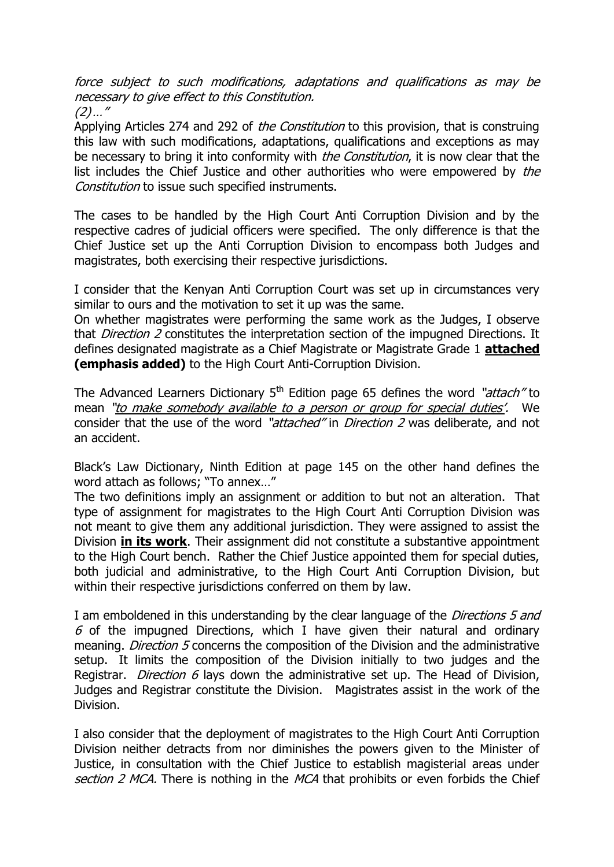force subject to such modifications, adaptations and qualifications as may be necessary to give effect to this Constitution.  $(2)$ ..."

Applying Articles 274 and 292 of *the Constitution* to this provision, that is construing this law with such modifications, adaptations, qualifications and exceptions as may be necessary to bring it into conformity with *the Constitution*, it is now clear that the list includes the Chief Justice and other authorities who were empowered by the Constitution to issue such specified instruments.

The cases to be handled by the High Court Anti Corruption Division and by the respective cadres of judicial officers were specified. The only difference is that the Chief Justice set up the Anti Corruption Division to encompass both Judges and magistrates, both exercising their respective jurisdictions.

I consider that the Kenyan Anti Corruption Court was set up in circumstances very similar to ours and the motivation to set it up was the same.

On whether magistrates were performing the same work as the Judges, I observe that *Direction 2* constitutes the interpretation section of the impugned Directions. It defines designated magistrate as a Chief Magistrate or Magistrate Grade 1 **attached (emphasis added)** to the High Court Anti-Corruption Division.

The Advanced Learners Dictionary  $5<sup>th</sup>$  Edition page 65 defines the word "attach" to mean "to make somebody available to a person or group for special duties'. We consider that the use of the word "attached" in Direction 2 was deliberate, and not an accident.

Black's Law Dictionary, Ninth Edition at page 145 on the other hand defines the word attach as follows; "To annex…"

The two definitions imply an assignment or addition to but not an alteration. That type of assignment for magistrates to the High Court Anti Corruption Division was not meant to give them any additional jurisdiction. They were assigned to assist the Division **in its work**. Their assignment did not constitute a substantive appointment to the High Court bench. Rather the Chief Justice appointed them for special duties, both judicial and administrative, to the High Court Anti Corruption Division, but within their respective jurisdictions conferred on them by law.

I am emboldened in this understanding by the clear language of the *Directions 5 and*  $6$  of the impugned Directions, which I have given their natural and ordinary meaning. *Direction 5* concerns the composition of the Division and the administrative setup. It limits the composition of the Division initially to two judges and the Registrar. *Direction 6* lays down the administrative set up. The Head of Division, Judges and Registrar constitute the Division. Magistrates assist in the work of the Division.

I also consider that the deployment of magistrates to the High Court Anti Corruption Division neither detracts from nor diminishes the powers given to the Minister of Justice, in consultation with the Chief Justice to establish magisterial areas under section 2 MCA. There is nothing in the MCA that prohibits or even forbids the Chief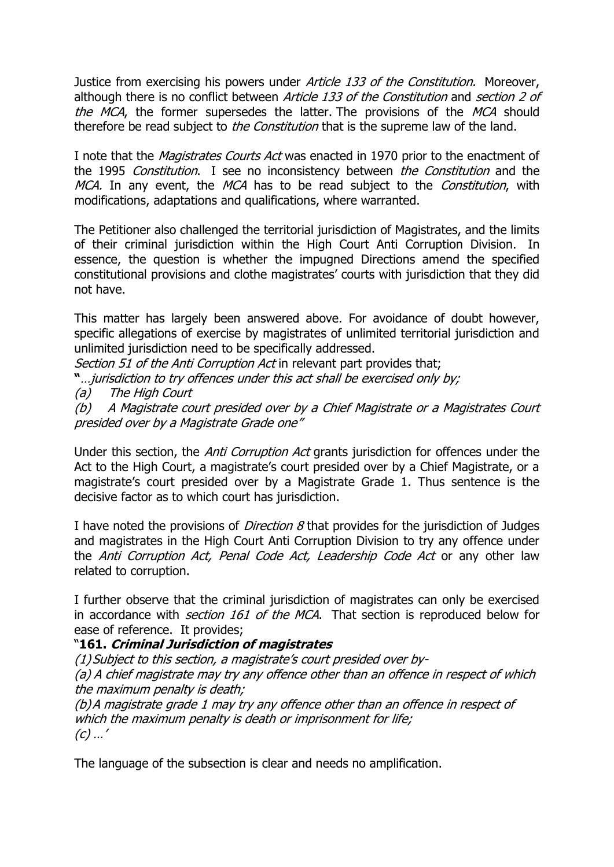Justice from exercising his powers under *Article 133 of the Constitution*. Moreover, although there is no conflict between *Article 133 of the Constitution* and *section 2 of* the MCA, the former supersedes the latter. The provisions of the MCA should therefore be read subject to *the Constitution* that is the supreme law of the land.

I note that the *Magistrates Courts Act* was enacted in 1970 prior to the enactment of the 1995 Constitution. I see no inconsistency between the Constitution and the MCA. In any event, the MCA has to be read subject to the Constitution, with modifications, adaptations and qualifications, where warranted.

The Petitioner also challenged the territorial jurisdiction of Magistrates, and the limits of their criminal jurisdiction within the High Court Anti Corruption Division. In essence, the question is whether the impugned Directions amend the specified constitutional provisions and clothe magistrates' courts with jurisdiction that they did not have.

This matter has largely been answered above. For avoidance of doubt however, specific allegations of exercise by magistrates of unlimited territorial jurisdiction and unlimited jurisdiction need to be specifically addressed.

Section 51 of the Anti Corruption Act in relevant part provides that;

**"**…jurisdiction to try offences under this act shall be exercised only by;

(a)The High Court

(b)A Magistrate court presided over by a Chief Magistrate or a Magistrates Court presided over by a Magistrate Grade one"

Under this section, the *Anti Corruption Act* grants jurisdiction for offences under the Act to the High Court, a magistrate's court presided over by a Chief Magistrate, or a magistrate's court presided over by a Magistrate Grade 1. Thus sentence is the decisive factor as to which court has jurisdiction.

I have noted the provisions of *Direction 8* that provides for the jurisdiction of Judges and magistrates in the High Court Anti Corruption Division to try any offence under the Anti Corruption Act, Penal Code Act, Leadership Code Act or any other law related to corruption.

I further observe that the criminal jurisdiction of magistrates can only be exercised in accordance with *section 161 of the MCA*. That section is reproduced below for ease of reference. It provides;

### "**161. Criminal Jurisdiction of magistrates**

(1) Subject to this section, a magistrate's court presided over by- (a) A chief magistrate may try any offence other than an offence in respect of which the maximum penalty is death;

(b)A magistrate grade 1 may try any offence other than an offence in respect of which the maximum penalty is death or imprisonment for life;  $(c)$  ...'

The language of the subsection is clear and needs no amplification.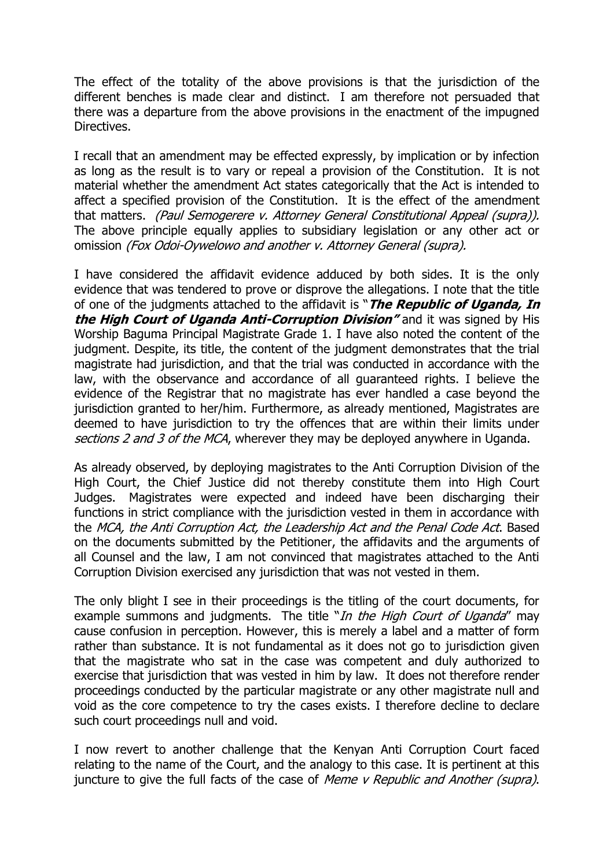The effect of the totality of the above provisions is that the jurisdiction of the different benches is made clear and distinct. I am therefore not persuaded that there was a departure from the above provisions in the enactment of the impugned Directives.

I recall that an amendment may be effected expressly, by implication or by infection as long as the result is to vary or repeal a provision of the Constitution. It is not material whether the amendment Act states categorically that the Act is intended to affect a specified provision of the Constitution. It is the effect of the amendment that matters. (Paul Semogerere v. Attorney General Constitutional Appeal (supra)). The above principle equally applies to subsidiary legislation or any other act or omission (Fox Odoi-Oywelowo and another v. Attorney General (supra).

I have considered the affidavit evidence adduced by both sides. It is the only evidence that was tendered to prove or disprove the allegations. I note that the title of one of the judgments attached to the affidavit is "**The Republic of Uganda, In the High Court of Uganda Anti-Corruption Division"** and it was signed by His Worship Baguma Principal Magistrate Grade 1. I have also noted the content of the judgment. Despite, its title, the content of the judgment demonstrates that the trial magistrate had jurisdiction, and that the trial was conducted in accordance with the law, with the observance and accordance of all guaranteed rights. I believe the evidence of the Registrar that no magistrate has ever handled a case beyond the jurisdiction granted to her/him. Furthermore, as already mentioned, Magistrates are deemed to have jurisdiction to try the offences that are within their limits under sections 2 and 3 of the MCA, wherever they may be deployed anywhere in Uganda.

As already observed, by deploying magistrates to the Anti Corruption Division of the High Court, the Chief Justice did not thereby constitute them into High Court Judges. Magistrates were expected and indeed have been discharging their functions in strict compliance with the jurisdiction vested in them in accordance with the MCA, the Anti Corruption Act, the Leadership Act and the Penal Code Act. Based on the documents submitted by the Petitioner, the affidavits and the arguments of all Counsel and the law, I am not convinced that magistrates attached to the Anti Corruption Division exercised any jurisdiction that was not vested in them.

The only blight I see in their proceedings is the titling of the court documents, for example summons and judgments. The title "In the High Court of Uganda" may cause confusion in perception. However, this is merely a label and a matter of form rather than substance. It is not fundamental as it does not go to jurisdiction given that the magistrate who sat in the case was competent and duly authorized to exercise that jurisdiction that was vested in him by law. It does not therefore render proceedings conducted by the particular magistrate or any other magistrate null and void as the core competence to try the cases exists. I therefore decline to declare such court proceedings null and void.

I now revert to another challenge that the Kenyan Anti Corruption Court faced relating to the name of the Court, and the analogy to this case. It is pertinent at this juncture to give the full facts of the case of Meme v Republic and Another (supra).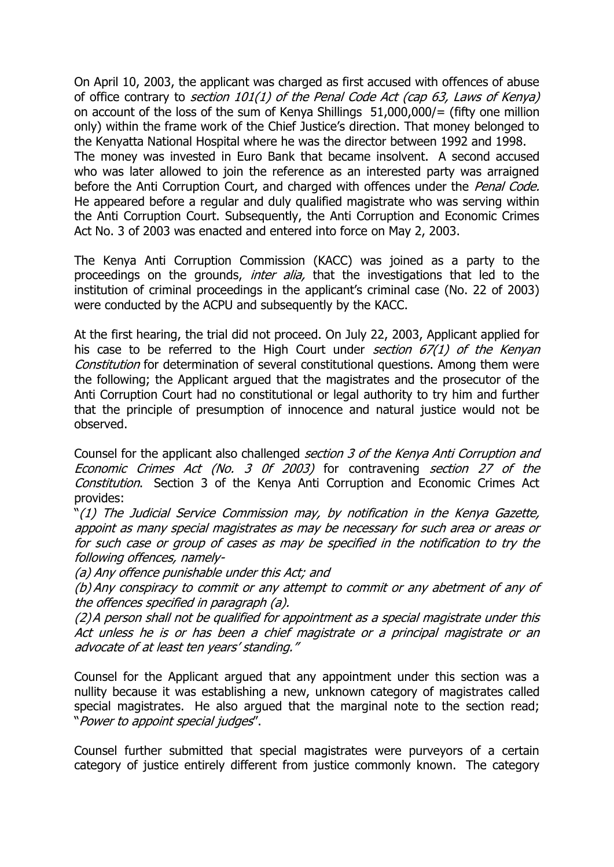On April 10, 2003, the applicant was charged as first accused with offences of abuse of office contrary to section 101(1) of the Penal Code Act (cap 63, Laws of Kenya) on account of the loss of the sum of Kenya Shillings 51,000,000/= (fifty one million only) within the frame work of the Chief Justice's direction. That money belonged to the Kenyatta National Hospital where he was the director between 1992 and 1998. The money was invested in Euro Bank that became insolvent. A second accused who was later allowed to join the reference as an interested party was arraigned before the Anti Corruption Court, and charged with offences under the Penal Code. He appeared before a regular and duly qualified magistrate who was serving within the Anti Corruption Court. Subsequently, the Anti Corruption and Economic Crimes Act No. 3 of 2003 was enacted and entered into force on May 2, 2003.

The Kenya Anti Corruption Commission (KACC) was joined as a party to the proceedings on the grounds, *inter alia*, that the investigations that led to the institution of criminal proceedings in the applicant's criminal case (No. 22 of 2003) were conducted by the ACPU and subsequently by the KACC.

At the first hearing, the trial did not proceed. On July 22, 2003, Applicant applied for his case to be referred to the High Court under section  $67(1)$  of the Kenyan Constitution for determination of several constitutional questions. Among them were the following; the Applicant argued that the magistrates and the prosecutor of the Anti Corruption Court had no constitutional or legal authority to try him and further that the principle of presumption of innocence and natural justice would not be observed.

Counsel for the applicant also challenged section 3 of the Kenya Anti Corruption and Economic Crimes Act (No. 3 0f 2003) for contravening section 27 of the Constitution. Section 3 of the Kenya Anti Corruption and Economic Crimes Act provides:

"(1) The Judicial Service Commission may, by notification in the Kenya Gazette, appoint as many special magistrates as may be necessary for such area or areas or for such case or group of cases as may be specified in the notification to try the following offences, namely-

(a) Any offence punishable under this Act; and

(b) Any conspiracy to commit or any attempt to commit or any abetment of any of the offences specified in paragraph (a).

(2)A person shall not be qualified for appointment as a special magistrate under this Act unless he is or has been a chief magistrate or a principal magistrate or an advocate of at least ten years' standing."

Counsel for the Applicant argued that any appointment under this section was a nullity because it was establishing a new, unknown category of magistrates called special magistrates. He also argued that the marginal note to the section read; "Power to appoint special judges".

Counsel further submitted that special magistrates were purveyors of a certain category of justice entirely different from justice commonly known. The category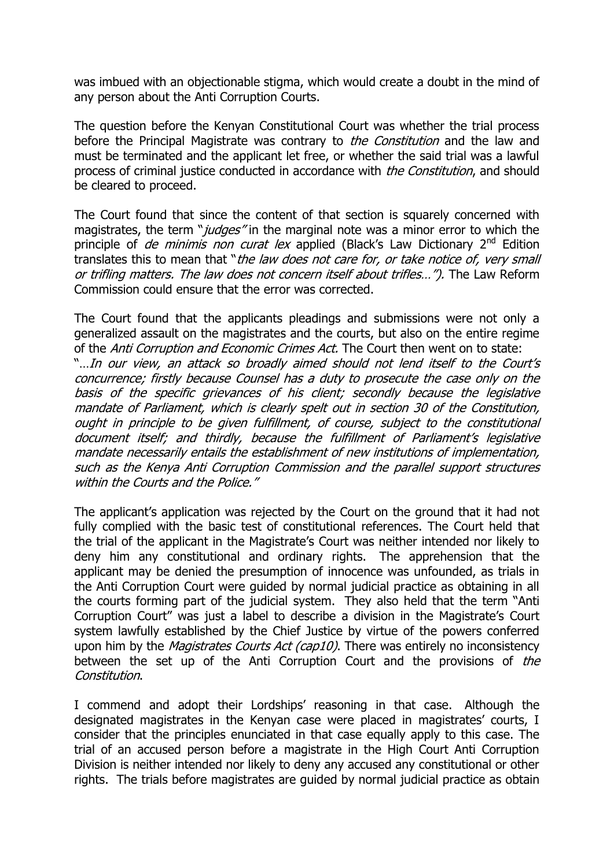was imbued with an objectionable stigma, which would create a doubt in the mind of any person about the Anti Corruption Courts.

The question before the Kenyan Constitutional Court was whether the trial process before the Principal Magistrate was contrary to *the Constitution* and the law and must be terminated and the applicant let free, or whether the said trial was a lawful process of criminal justice conducted in accordance with *the Constitution*, and should be cleared to proceed.

The Court found that since the content of that section is squarely concerned with magistrates, the term "*judges*" in the marginal note was a minor error to which the principle of *de minimis non curat lex* applied (Black's Law Dictionary  $2<sup>nd</sup>$  Edition translates this to mean that "the law does not care for, or take notice of, very small or trifling matters. The law does not concern itself about trifles…"). The Law Reform Commission could ensure that the error was corrected.

The Court found that the applicants pleadings and submissions were not only a generalized assault on the magistrates and the courts, but also on the entire regime of the Anti Corruption and Economic Crimes Act. The Court then went on to state: "…In our view, an attack so broadly aimed should not lend itself to the Court's concurrence; firstly because Counsel has a duty to prosecute the case only on the basis of the specific grievances of his client; secondly because the legislative mandate of Parliament, which is clearly spelt out in section 30 of the Constitution, ought in principle to be given fulfillment, of course, subject to the constitutional document itself; and thirdly, because the fulfillment of Parliament's legislative mandate necessarily entails the establishment of new institutions of implementation, such as the Kenya Anti Corruption Commission and the parallel support structures within the Courts and the Police."

The applicant's application was rejected by the Court on the ground that it had not fully complied with the basic test of constitutional references. The Court held that the trial of the applicant in the Magistrate's Court was neither intended nor likely to deny him any constitutional and ordinary rights. The apprehension that the applicant may be denied the presumption of innocence was unfounded, as trials in the Anti Corruption Court were guided by normal judicial practice as obtaining in all the courts forming part of the judicial system. They also held that the term "Anti Corruption Court" was just a label to describe a division in the Magistrate's Court system lawfully established by the Chief Justice by virtue of the powers conferred upon him by the *Magistrates Courts Act (cap10)*. There was entirely no inconsistency between the set up of the Anti Corruption Court and the provisions of the Constitution.

I commend and adopt their Lordships' reasoning in that case. Although the designated magistrates in the Kenyan case were placed in magistrates' courts, I consider that the principles enunciated in that case equally apply to this case. The trial of an accused person before a magistrate in the High Court Anti Corruption Division is neither intended nor likely to deny any accused any constitutional or other rights. The trials before magistrates are guided by normal judicial practice as obtain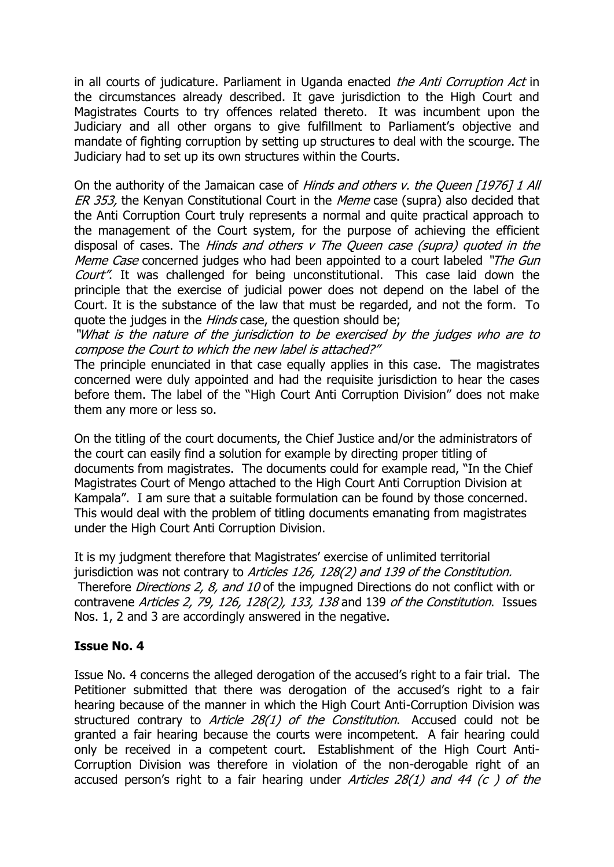in all courts of judicature. Parliament in Uganda enacted *the Anti Corruption Act* in the circumstances already described. It gave jurisdiction to the High Court and Magistrates Courts to try offences related thereto. It was incumbent upon the Judiciary and all other organs to give fulfillment to Parliament's objective and mandate of fighting corruption by setting up structures to deal with the scourge. The Judiciary had to set up its own structures within the Courts.

On the authority of the Jamaican case of Hinds and others v. the Queen [1976] 1 All ER 353, the Kenyan Constitutional Court in the Meme case (supra) also decided that the Anti Corruption Court truly represents a normal and quite practical approach to the management of the Court system, for the purpose of achieving the efficient disposal of cases. The *Hinds and others v The Oueen case (supra) quoted in the* Meme Case concerned judges who had been appointed to a court labeled "The Gun Court". It was challenged for being unconstitutional. This case laid down the principle that the exercise of judicial power does not depend on the label of the Court. It is the substance of the law that must be regarded, and not the form. To quote the judges in the *Hinds* case, the question should be;

"What is the nature of the jurisdiction to be exercised by the judges who are to compose the Court to which the new label is attached?"

The principle enunciated in that case equally applies in this case. The magistrates concerned were duly appointed and had the requisite jurisdiction to hear the cases before them. The label of the "High Court Anti Corruption Division" does not make them any more or less so.

On the titling of the court documents, the Chief Justice and/or the administrators of the court can easily find a solution for example by directing proper titling of documents from magistrates. The documents could for example read, "In the Chief Magistrates Court of Mengo attached to the High Court Anti Corruption Division at Kampala". I am sure that a suitable formulation can be found by those concerned. This would deal with the problem of titling documents emanating from magistrates under the High Court Anti Corruption Division.

It is my judgment therefore that Magistrates' exercise of unlimited territorial jurisdiction was not contrary to Articles 126, 128(2) and 139 of the Constitution. Therefore *Directions 2, 8, and 10* of the impugned Directions do not conflict with or contravene Articles 2, 79, 126, 128(2), 133, 138 and 139 of the Constitution. Issues Nos. 1, 2 and 3 are accordingly answered in the negative.

### **Issue No. 4**

Issue No. 4 concerns the alleged derogation of the accused's right to a fair trial. The Petitioner submitted that there was derogation of the accused's right to a fair hearing because of the manner in which the High Court Anti-Corruption Division was structured contrary to Article 28(1) of the Constitution. Accused could not be granted a fair hearing because the courts were incompetent. A fair hearing could only be received in a competent court. Establishment of the High Court Anti-Corruption Division was therefore in violation of the non-derogable right of an accused person's right to a fair hearing under Articles  $28(1)$  and 44 (c) of the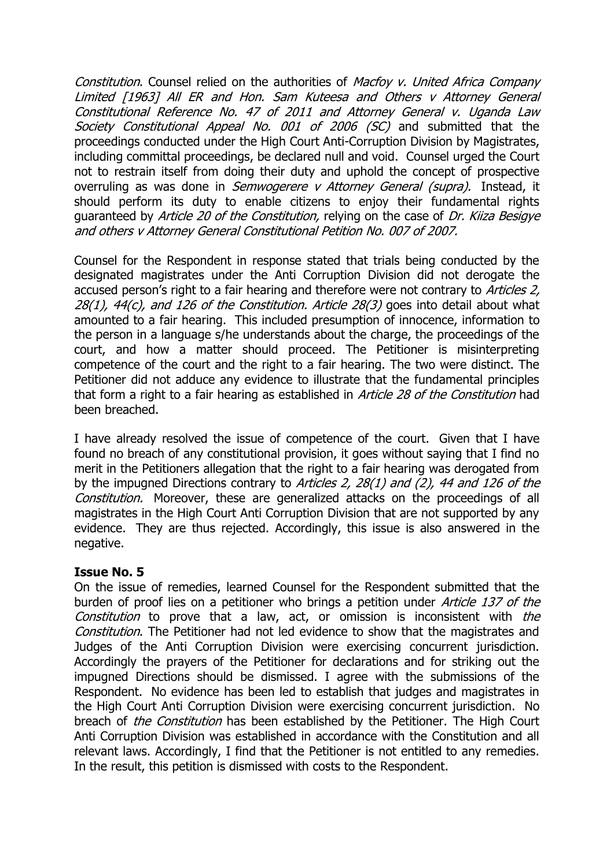Constitution. Counsel relied on the authorities of Macfoy v. United Africa Company Limited [1963] All ER and Hon. Sam Kuteesa and Others v Attorney General Constitutional Reference No. 47 of 2011 and Attorney General v. Uganda Law Society Constitutional Appeal No. 001 of 2006 (SC) and submitted that the proceedings conducted under the High Court Anti-Corruption Division by Magistrates, including committal proceedings, be declared null and void. Counsel urged the Court not to restrain itself from doing their duty and uphold the concept of prospective overruling as was done in *Semwogerere v Attorney General (supra)*. Instead, it should perform its duty to enable citizens to enjoy their fundamental rights guaranteed by Article 20 of the Constitution, relying on the case of Dr. Kiiza Besigye and others v Attorney General Constitutional Petition No. 007 of 2007.

Counsel for the Respondent in response stated that trials being conducted by the designated magistrates under the Anti Corruption Division did not derogate the accused person's right to a fair hearing and therefore were not contrary to *Articles 2.*  $28(1)$ ,  $44(c)$ , and  $126$  of the Constitution. Article  $28(3)$  goes into detail about what amounted to a fair hearing. This included presumption of innocence, information to the person in a language s/he understands about the charge, the proceedings of the court, and how a matter should proceed. The Petitioner is misinterpreting competence of the court and the right to a fair hearing. The two were distinct. The Petitioner did not adduce any evidence to illustrate that the fundamental principles that form a right to a fair hearing as established in *Article 28 of the Constitution* had been breached.

I have already resolved the issue of competence of the court. Given that I have found no breach of any constitutional provision, it goes without saying that I find no merit in the Petitioners allegation that the right to a fair hearing was derogated from by the impugned Directions contrary to Articles 2, 28(1) and (2), 44 and 126 of the Constitution. Moreover, these are generalized attacks on the proceedings of all magistrates in the High Court Anti Corruption Division that are not supported by any evidence. They are thus rejected. Accordingly, this issue is also answered in the negative.

#### **Issue No. 5**

On the issue of remedies, learned Counsel for the Respondent submitted that the burden of proof lies on a petitioner who brings a petition under *Article 137 of the* Constitution to prove that a law, act, or omission is inconsistent with the Constitution. The Petitioner had not led evidence to show that the magistrates and Judges of the Anti Corruption Division were exercising concurrent jurisdiction. Accordingly the prayers of the Petitioner for declarations and for striking out the impugned Directions should be dismissed. I agree with the submissions of the Respondent. No evidence has been led to establish that judges and magistrates in the High Court Anti Corruption Division were exercising concurrent jurisdiction. No breach of *the Constitution* has been established by the Petitioner. The High Court Anti Corruption Division was established in accordance with the Constitution and all relevant laws. Accordingly, I find that the Petitioner is not entitled to any remedies. In the result, this petition is dismissed with costs to the Respondent.